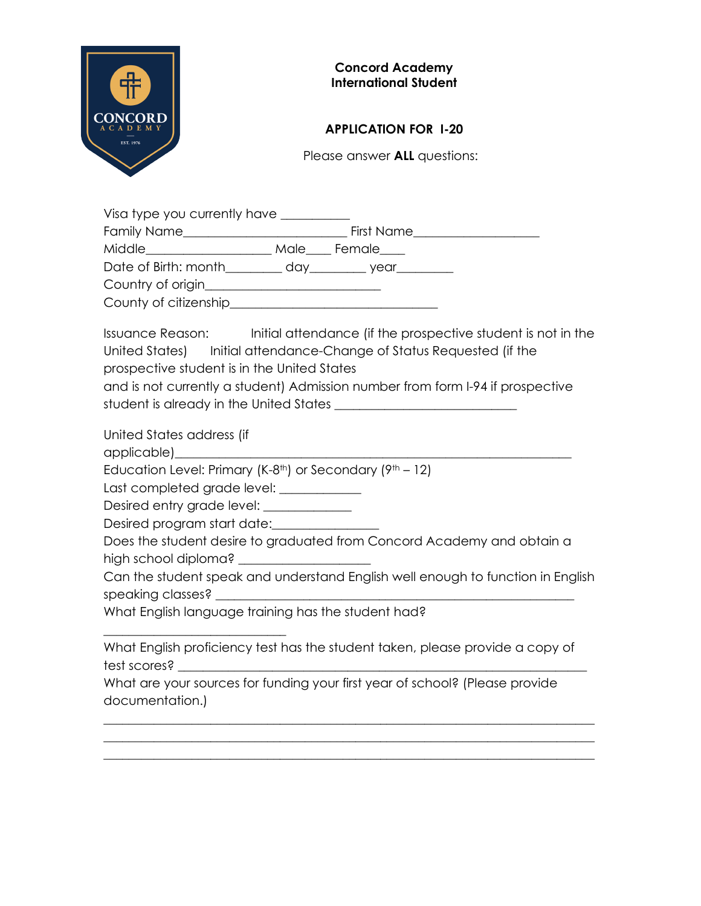

## **Concord Academy International Student**

## **APPLICATION FOR I-20**

Please answer **ALL** questions:

Visa type you currently have \_\_\_\_\_\_\_\_\_\_\_ Family Name\_\_\_\_\_\_\_\_\_\_\_\_\_\_\_\_\_\_\_\_\_\_\_\_\_\_ First Name\_\_\_\_\_\_\_\_\_\_\_\_\_\_\_\_\_\_\_\_ Middle\_\_\_\_\_\_\_\_\_\_\_\_\_\_\_\_\_\_\_\_ Male\_\_\_\_ Female\_\_\_\_ Date of Birth: month\_\_\_\_\_\_\_\_ day\_\_\_\_\_\_\_\_ year\_\_\_\_\_\_\_\_ Country of origin\_\_\_\_\_\_\_\_\_\_\_\_\_\_\_\_\_\_\_\_\_\_\_\_\_\_\_\_ County of citizenship\_\_\_\_\_\_\_\_\_\_\_\_\_\_\_\_\_\_\_\_\_\_\_\_\_\_\_\_\_\_\_\_\_

Issuance Reason: Initial attendance (if the prospective student is not in the United States) Initial attendance-Change of Status Requested (if the prospective student is in the United States

and is not currently a student) Admission number from form I-94 if prospective student is already in the United States

United States address (if

applicable)

Education Level: Primary (K-8<sup>th</sup>) or Secondary (9<sup>th</sup> – 12)

Last completed grade level: \_\_\_\_\_\_\_\_\_\_\_\_

Desired entry grade level: \_\_\_\_\_\_\_\_\_\_\_\_\_\_\_

Desired program start date:\_\_\_\_\_\_\_\_\_\_\_\_\_\_\_\_\_

\_\_\_\_\_\_\_\_\_\_\_\_\_\_\_\_\_\_\_\_\_\_\_\_\_\_\_\_\_

Does the student desire to graduated from Concord Academy and obtain a high school diploma? \_\_\_\_\_\_\_\_\_\_\_\_\_\_\_\_\_\_\_\_\_

Can the student speak and understand English well enough to function in English speaking classes? \_\_\_\_\_\_\_\_\_\_\_\_\_\_\_\_\_\_\_\_\_\_\_\_\_\_\_\_\_\_\_\_\_\_\_\_\_\_\_\_\_\_\_\_\_\_\_\_\_\_\_\_\_\_\_\_\_

What English language training has the student had?

What English proficiency test has the student taken, please provide a copy of test scores? \_\_\_\_\_\_\_\_\_\_\_\_\_\_\_\_\_\_\_\_\_\_\_\_\_\_\_\_\_\_\_\_\_\_\_\_\_\_\_\_\_\_\_\_\_\_\_\_\_\_\_\_\_\_\_\_\_\_\_\_\_\_\_\_\_

\_\_\_\_\_\_\_\_\_\_\_\_\_\_\_\_\_\_\_\_\_\_\_\_\_\_\_\_\_\_\_\_\_\_\_\_\_\_\_\_\_\_\_\_\_\_\_\_\_\_\_\_\_\_\_\_\_\_\_\_\_\_\_\_\_\_\_\_\_\_\_\_\_\_\_\_\_\_  $\_$  , and the set of the set of the set of the set of the set of the set of the set of the set of the set of the set of the set of the set of the set of the set of the set of the set of the set of the set of the set of th \_\_\_\_\_\_\_\_\_\_\_\_\_\_\_\_\_\_\_\_\_\_\_\_\_\_\_\_\_\_\_\_\_\_\_\_\_\_\_\_\_\_\_\_\_\_\_\_\_\_\_\_\_\_\_\_\_\_\_\_\_\_\_\_\_\_\_\_\_\_\_\_\_\_\_\_\_\_

What are your sources for funding your first year of school? (Please provide documentation.)